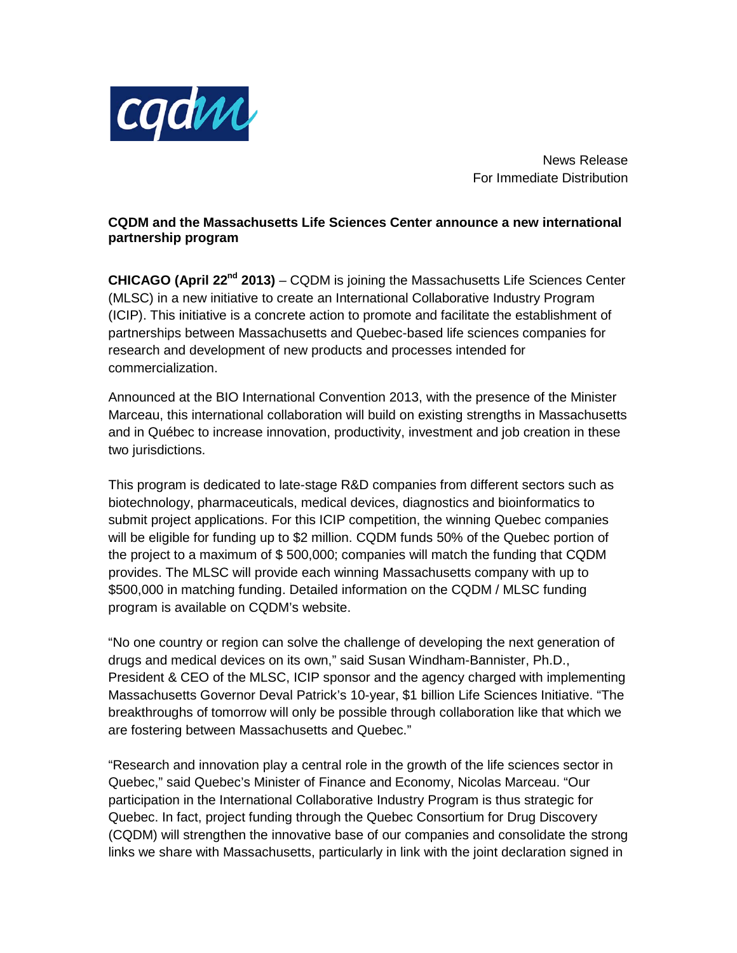

News Release For Immediate Distribution

## **CQDM and the Massachusetts Life Sciences Center announce a new international partnership program**

**CHICAGO (April 22nd 2013)** – CQDM is joining the Massachusetts Life Sciences Center (MLSC) in a new initiative to create an International Collaborative Industry Program (ICIP). This initiative is a concrete action to promote and facilitate the establishment of partnerships between Massachusetts and Quebec-based life sciences companies for research and development of new products and processes intended for commercialization.

Announced at the BIO International Convention 2013, with the presence of the Minister Marceau, this international collaboration will build on existing strengths in Massachusetts and in Québec to increase innovation, productivity, investment and job creation in these two jurisdictions.

This program is dedicated to late-stage R&D companies from different sectors such as biotechnology, pharmaceuticals, medical devices, diagnostics and bioinformatics to submit project applications. For this ICIP competition, the winning Quebec companies will be eligible for funding up to \$2 million. CQDM funds 50% of the Quebec portion of the project to a maximum of \$ 500,000; companies will match the funding that CQDM provides. The MLSC will provide each winning Massachusetts company with up to \$500,000 in matching funding. Detailed information on the CQDM / MLSC funding program is available on CQDM's website.

"No one country or region can solve the challenge of developing the next generation of drugs and medical devices on its own," said Susan Windham-Bannister, Ph.D., President & CEO of the MLSC, ICIP sponsor and the agency charged with implementing Massachusetts Governor Deval Patrick's 10-year, \$1 billion Life Sciences Initiative. "The breakthroughs of tomorrow will only be possible through collaboration like that which we are fostering between Massachusetts and Quebec."

"Research and innovation play a central role in the growth of the life sciences sector in Quebec," said Quebec's Minister of Finance and Economy, Nicolas Marceau. "Our participation in the International Collaborative Industry Program is thus strategic for Quebec. In fact, project funding through the Quebec Consortium for Drug Discovery (CQDM) will strengthen the innovative base of our companies and consolidate the strong links we share with Massachusetts, particularly in link with the joint declaration signed in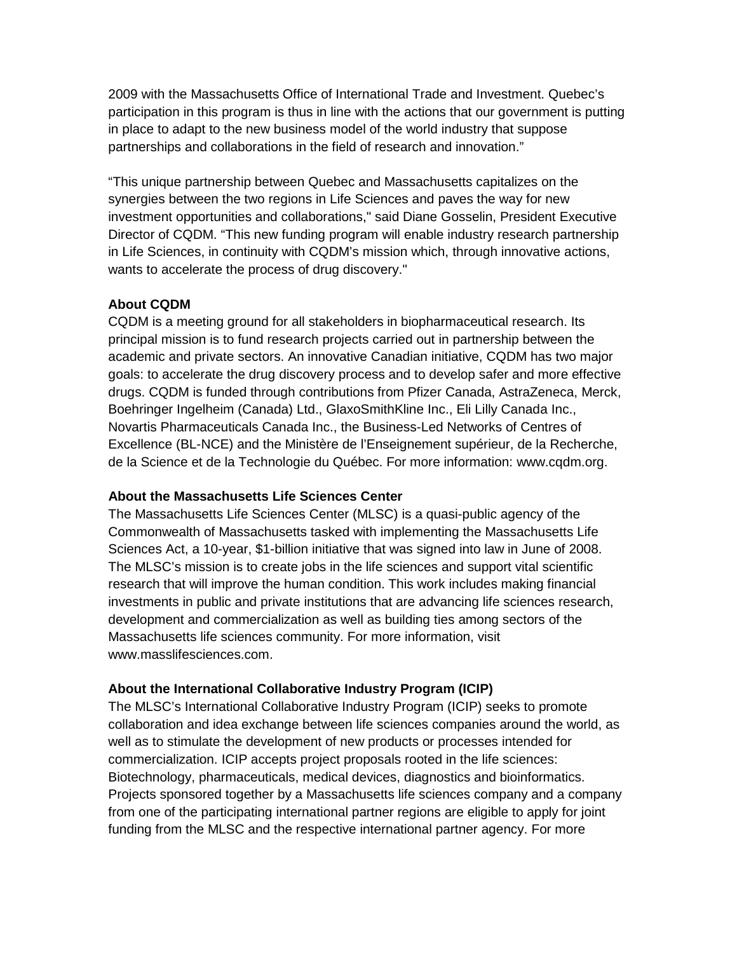2009 with the Massachusetts Office of International Trade and Investment. Quebec's participation in this program is thus in line with the actions that our government is putting in place to adapt to the new business model of the world industry that suppose partnerships and collaborations in the field of research and innovation."

"This unique partnership between Quebec and Massachusetts capitalizes on the synergies between the two regions in Life Sciences and paves the way for new investment opportunities and collaborations," said Diane Gosselin, President Executive Director of CQDM. "This new funding program will enable industry research partnership in Life Sciences, in continuity with CQDM's mission which, through innovative actions, wants to accelerate the process of drug discovery."

### **About CQDM**

CQDM is a meeting ground for all stakeholders in biopharmaceutical research. Its principal mission is to fund research projects carried out in partnership between the academic and private sectors. An innovative Canadian initiative, CQDM has two major goals: to accelerate the drug discovery process and to develop safer and more effective drugs. CQDM is funded through contributions from Pfizer Canada, AstraZeneca, Merck, Boehringer Ingelheim (Canada) Ltd., GlaxoSmithKline Inc., Eli Lilly Canada Inc., Novartis Pharmaceuticals Canada Inc., the Business-Led Networks of Centres of Excellence (BL-NCE) and the Ministère de l'Enseignement supérieur, de la Recherche, de la Science et de la Technologie du Québec. For more information: www.cqdm.org.

#### **About the Massachusetts Life Sciences Center**

The Massachusetts Life Sciences Center (MLSC) is a quasi-public agency of the Commonwealth of Massachusetts tasked with implementing the Massachusetts Life Sciences Act, a 10-year, \$1-billion initiative that was signed into law in June of 2008. The MLSC's mission is to create jobs in the life sciences and support vital scientific research that will improve the human condition. This work includes making financial investments in public and private institutions that are advancing life sciences research, development and commercialization as well as building ties among sectors of the Massachusetts life sciences community. For more information, visit www.masslifesciences.com.

## **About the International Collaborative Industry Program (ICIP)**

The MLSC's International Collaborative Industry Program (ICIP) seeks to promote collaboration and idea exchange between life sciences companies around the world, as well as to stimulate the development of new products or processes intended for commercialization. ICIP accepts project proposals rooted in the life sciences: Biotechnology, pharmaceuticals, medical devices, diagnostics and bioinformatics. Projects sponsored together by a Massachusetts life sciences company and a company from one of the participating international partner regions are eligible to apply for joint funding from the MLSC and the respective international partner agency. For more